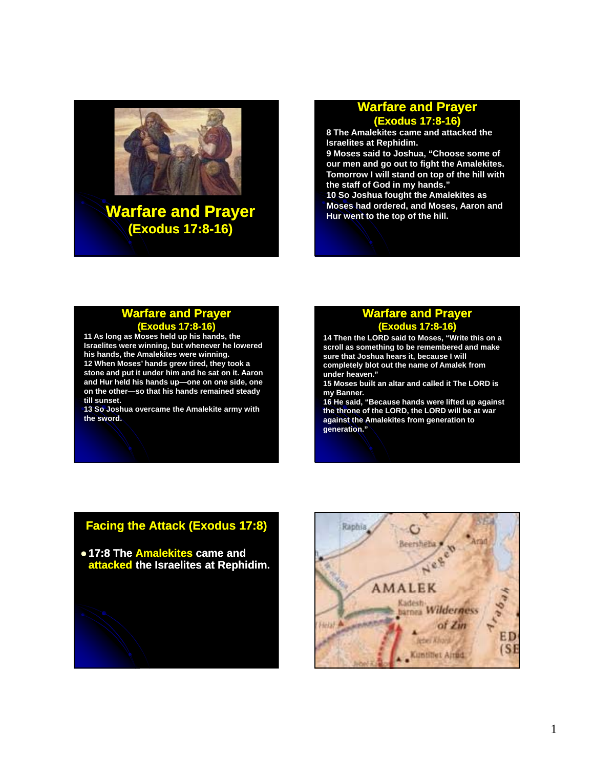

#### **Warfare and Prayer (Exodus 17:8 17:8-16)**

**8 The Amalekites came and attacked the Israelites at Rephidim. 9 Moses said to Joshua, "Choose some of our men and go out to fight the Amalekites. Tomorrow I will stand on top of the hill with the staff of God in my hands." 10 So Joshua fought the Amalekites as Moses had ordered, and Moses, Aaron and Hur went to the top of the hill.**

#### **Warfare and Prayer (Exodus 17:8 17:8-16)**

**11 As long as Moses held up his hands, the Israelites were winning, but whenever he lowered his hands, the Amalekites were winning. 12 When Moses' hands grew tired, they took a stone and put it under him and he sat on it. Aaron and Hur held his hands up held his hands up—one on one side, one one on one side, on the other—so that his hands remained steady till sunset.** 

**13 So Joshua overcame the Amalekite army with the sword.**

#### **Warfare and Prayer (Exodus 17:8 17:8-16)**

**14 Then the LORD said to Moses, "Write this on a scroll as something to be remembered and make sure that Joshua hears it, because I will completely blot out the name of Amalek from under heaven."** 

**15 Moses built an altar and called it The LORD is 15 Moses built an altar and called it The LORD my Banner.** 

**16 He said, "Because hands were lifted up against the throne of the LORD, the LORD will be at war against the Amalekites from generation to generation."** 

## **Facing the Attack (Exodus 17:8)**

z **17:8 The Amalekites came and attacked** the Israelites at Rephidim.

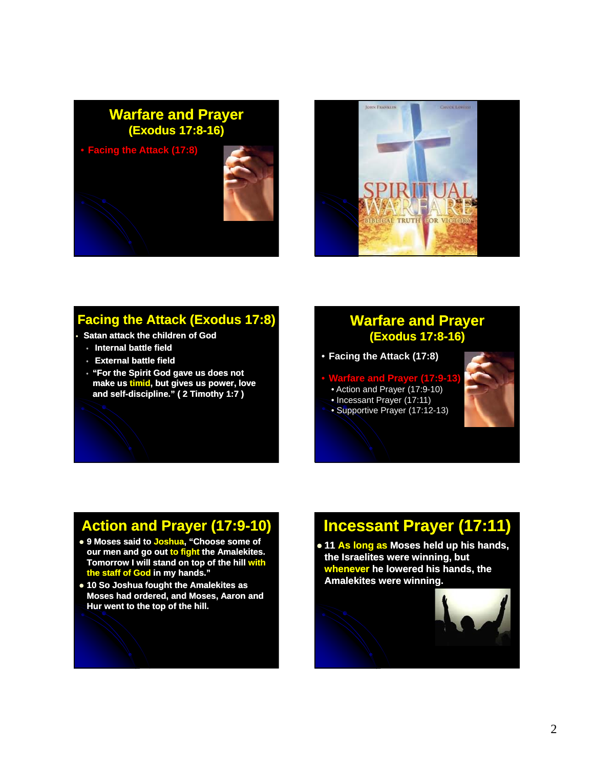



### **Facing the Attack (Exodus 17:8)**

- **Satan attack the children of God**
- **Internal battle field**
- **External battle field**
- **"For the Spirit God gave us does not make us make timid, but gives us power love but gives us power, and self self-discipline." ( 2 Timothy 1:7 ) discipline." (**

### **Warfare and Prayer (Exodus 17:8 17:8-16)**

- **Facing the Attack (17:8)**
- **Warfare and Prayer (17:9-13)**
- Action and Prayer (17:9-10)
- Incessant Prayer (17:11)
- Supportive Prayer (17:12-13)



## **Action and Prayer (17:9 (17:9-10)**

- z **9 Moses said to Joshua, "Choose some of our men and go out to fight the Amalekites. Tomorrow I will stand on top of the hill with the staff of God in my hands."**
- $\bullet$  10 So Joshua fought the Amalekites as **Moses had ordered, and Moses, Aaron and Hur went to the top of the hill.**

# **Incessant Prayer (17:11)**

**• 11 As long as Moses held up his hands, the Israelites were winning, but whenever he lowered his hands, the Amalekites Amalekites were winning.** 

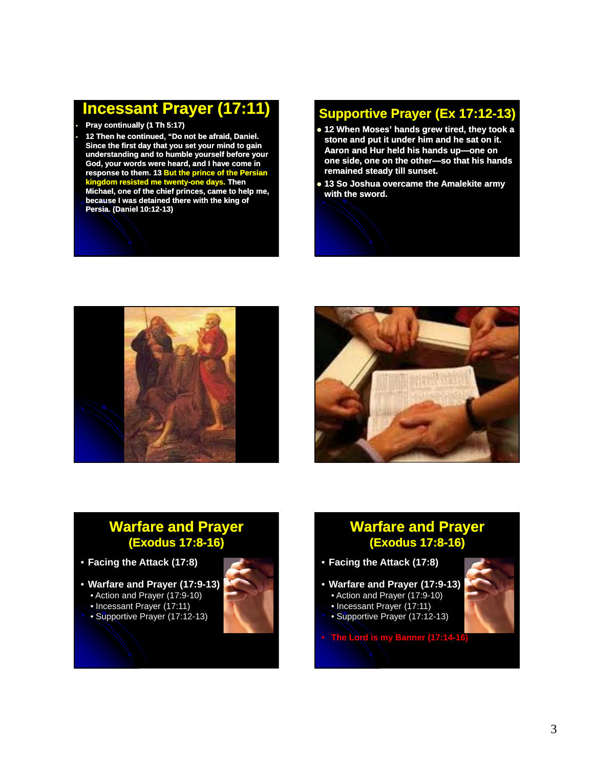## **Incessant Prayer (17:11)**

• **Pray continually (1 Th 5:17)**

• **12 Then he continued, "Do not be afraid, Daniel. Since the first day that you set your mind to gain understanding and to humble yourself before your God, your words were heard, and I have come in response to them. 13 But the prince of the Persian kingdom resisted me twenty-one days. Then Michael, one of the chief princes, came to help me, because I was detained there with the king of Persia. (Daniel 10:12 10:12-13)**

### **Supportive Prayer (Ex 17:12 17:12-13)**

- **12 When Moses' hands grew tired, they took a stone and put it under him and he sat on it. Aaron and Hur held his hands up—one on** one side, one on the other-so that his hands **remained steady till sunset.**
- z **13 So Joshua overcame the Amalekite Amalekite army with the sword.**





### **Warfare and Prayer (Exodus 17:8 17:8-16)**

- **Facing the Attack (17:8)**
- **Warfare and Prayer (17:9-13)**
- Action and Prayer (17:9-10)
- Incessant Prayer (17:11)
- Supportive Prayer (17:12-13)



### **Warfare and Prayer (Exodus 17:8 17:8-16)**

- **Facing the Attack (17:8)**
- **Warfare and Prayer (17:9-13)**
	- Action and Prayer (17:9-10)
- Incessant Prayer (17:11)
- Supportive Prayer (17:12-13)
- **The Lord is my Banner (17:14-16)**